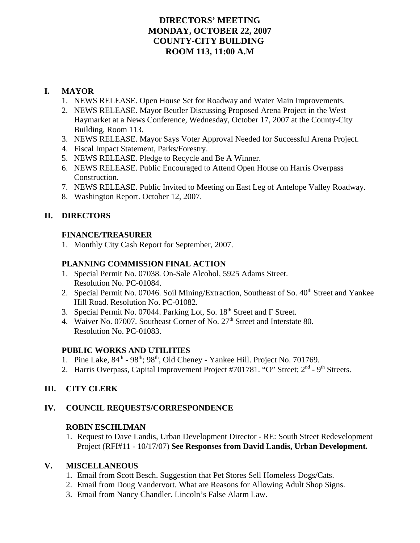# **DIRECTORS' MEETING MONDAY, OCTOBER 22, 2007 COUNTY-CITY BUILDING ROOM 113, 11:00 A.M**

# **I. MAYOR**

- 1. NEWS RELEASE. Open House Set for Roadway and Water Main Improvements.
- 2. NEWS RELEASE. Mayor Beutler Discussing Proposed Arena Project in the West Haymarket at a News Conference, Wednesday, October 17, 2007 at the County-City Building, Room 113.
- 3. NEWS RELEASE. Mayor Says Voter Approval Needed for Successful Arena Project.
- 4. Fiscal Impact Statement, Parks/Forestry.
- 5. NEWS RELEASE. Pledge to Recycle and Be A Winner.
- 6. NEWS RELEASE. Public Encouraged to Attend Open House on Harris Overpass Construction.
- 7. NEWS RELEASE. Public Invited to Meeting on East Leg of Antelope Valley Roadway.
- 8. Washington Report. October 12, 2007.

# **II. DIRECTORS**

# **FINANCE/TREASURER**

1. Monthly City Cash Report for September, 2007.

# **PLANNING COMMISSION FINAL ACTION**

- 1. Special Permit No. 07038. On-Sale Alcohol, 5925 Adams Street. Resolution No. PC-01084.
- 2. Special Permit No. 07046. Soil Mining/Extraction, Southeast of So. 40<sup>th</sup> Street and Yankee Hill Road. Resolution No. PC-01082.
- 3. Special Permit No. 07044. Parking Lot, So. 18<sup>th</sup> Street and F Street.
- 4. Waiver No. 07007. Southeast Corner of No. 27<sup>th</sup> Street and Interstate 80. Resolution No. PC-01083.

# **PUBLIC WORKS AND UTILITIES**

- 1. Pine Lake,  $84<sup>th</sup> 98<sup>th</sup>$ ;  $98<sup>th</sup>$ , Old Cheney Yankee Hill. Project No. 701769.
- 2. Harris Overpass, Capital Improvement Project #701781. "O" Street;  $2<sup>nd</sup>$  9<sup>th</sup> Streets.

# **III. CITY CLERK**

# **IV. COUNCIL REQUESTS/CORRESPONDENCE**

## **ROBIN ESCHLIMAN**

1. Request to Dave Landis, Urban Development Director - RE: South Street Redevelopment Project (RFI#11 - 10/17/07) **See Responses from David Landis, Urban Development.** 

## **V. MISCELLANEOUS**

- 1. Email from Scott Besch. Suggestion that Pet Stores Sell Homeless Dogs/Cats.
- 2. Email from Doug Vandervort. What are Reasons for Allowing Adult Shop Signs.
- 3. Email from Nancy Chandler. Lincoln's False Alarm Law.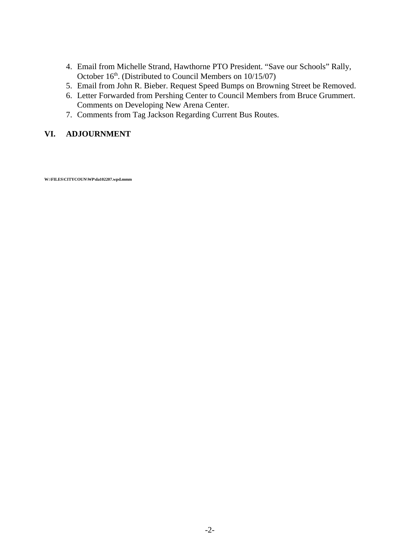- 4. Email from Michelle Strand, Hawthorne PTO President. "Save our Schools" Rally, October 16<sup>th</sup>. (Distributed to Council Members on 10/15/07)
- 5. Email from John R. Bieber. Request Speed Bumps on Browning Street be Removed.
- 6. Letter Forwarded from Pershing Center to Council Members from Bruce Grummert. Comments on Developing New Arena Center.
- 7. Comments from Tag Jackson Regarding Current Bus Routes.

## **VI. ADJOURNMENT**

**W:\FILES\CITYCOUN\WP\da102207.wpd.mmm**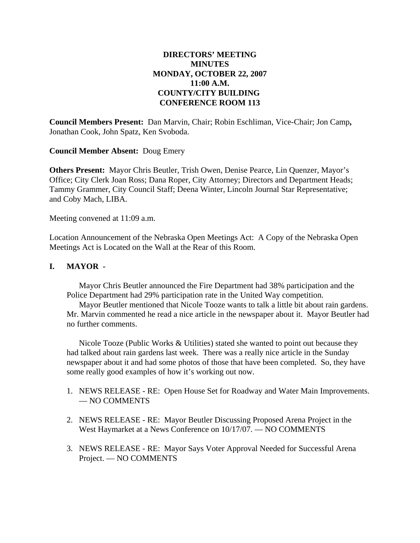## **DIRECTORS' MEETING MINUTES MONDAY, OCTOBER 22, 2007 11:00 A.M. COUNTY/CITY BUILDING CONFERENCE ROOM 113**

**Council Members Present:** Dan Marvin, Chair; Robin Eschliman, Vice-Chair; Jon Camp**,** Jonathan Cook, John Spatz, Ken Svoboda.

**Council Member Absent:** Doug Emery

**Others Present:** Mayor Chris Beutler, Trish Owen, Denise Pearce, Lin Quenzer, Mayor's Office; City Clerk Joan Ross; Dana Roper, City Attorney; Directors and Department Heads; Tammy Grammer, City Council Staff; Deena Winter, Lincoln Journal Star Representative; and Coby Mach, LIBA.

Meeting convened at 11:09 a.m.

Location Announcement of the Nebraska Open Meetings Act: A Copy of the Nebraska Open Meetings Act is Located on the Wall at the Rear of this Room.

## **I. MAYOR -**

Mayor Chris Beutler announced the Fire Department had 38% participation and the Police Department had 29% participation rate in the United Way competition.

Mayor Beutler mentioned that Nicole Tooze wants to talk a little bit about rain gardens. Mr. Marvin commented he read a nice article in the newspaper about it. Mayor Beutler had no further comments.

Nicole Tooze (Public Works & Utilities) stated she wanted to point out because they had talked about rain gardens last week. There was a really nice article in the Sunday newspaper about it and had some photos of those that have been completed. So, they have some really good examples of how it's working out now.

- 1. NEWS RELEASE RE: Open House Set for Roadway and Water Main Improvements. — NO COMMENTS
- 2. NEWS RELEASE RE: Mayor Beutler Discussing Proposed Arena Project in the West Haymarket at a News Conference on 10/17/07. — NO COMMENTS
- 3. NEWS RELEASE RE: Mayor Says Voter Approval Needed for Successful Arena Project. — NO COMMENTS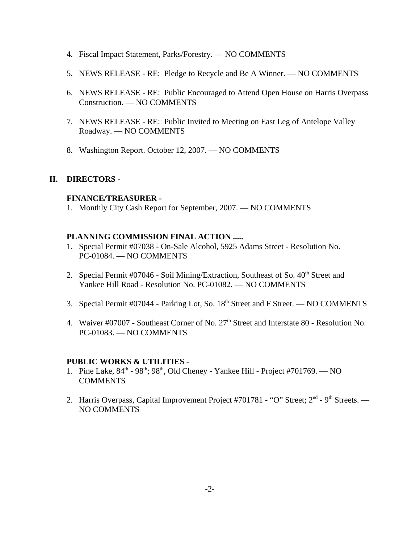- 4. Fiscal Impact Statement, Parks/Forestry. NO COMMENTS
- 5. NEWS RELEASE RE: Pledge to Recycle and Be A Winner. NO COMMENTS
- 6. NEWS RELEASE RE: Public Encouraged to Attend Open House on Harris Overpass Construction. — NO COMMENTS
- 7. NEWS RELEASE RE: Public Invited to Meeting on East Leg of Antelope Valley Roadway. — NO COMMENTS
- 8. Washington Report. October 12, 2007. NO COMMENTS

## **II. DIRECTORS -**

## **FINANCE/TREASURER -**

1. Monthly City Cash Report for September, 2007. — NO COMMENTS

### **PLANNING COMMISSION FINAL ACTION .....**

- 1. Special Permit #07038 On-Sale Alcohol, 5925 Adams Street Resolution No. PC-01084. — NO COMMENTS
- 2. Special Permit  $\text{\#07046 -}$  Soil Mining/Extraction, Southeast of So.  $40^{\text{th}}$  Street and Yankee Hill Road - Resolution No. PC-01082. — NO COMMENTS
- 3. Special Permit #07044 Parking Lot, So. 18<sup>th</sup> Street and F Street. NO COMMENTS
- 4. Waiver #07007 Southeast Corner of No. 27<sup>th</sup> Street and Interstate 80 Resolution No. PC-01083. — NO COMMENTS

### **PUBLIC WORKS & UTILITIES** -

- 1. Pine Lake,  $84^{\text{th}}$   $98^{\text{th}}$ ;  $98^{\text{th}}$ , Old Cheney Yankee Hill Project #701769. NO **COMMENTS**
- 2. Harris Overpass, Capital Improvement Project #701781 "O" Street; 2<sup>nd</sup> 9<sup>th</sup> Streets. NO COMMENTS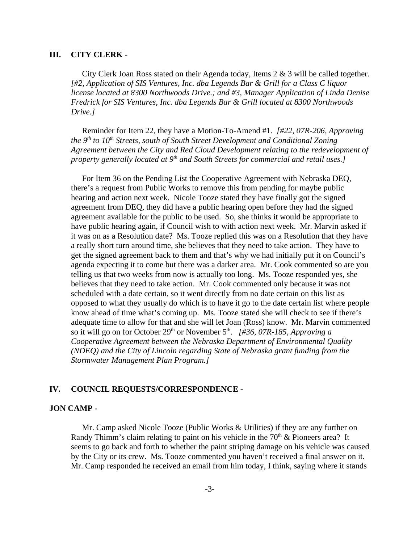#### **III. CITY CLERK** -

City Clerk Joan Ross stated on their Agenda today, Items 2 & 3 will be called together. *[#2, Application of SIS Ventures, Inc. dba Legends Bar & Grill for a Class C liquor license located at 8300 Northwoods Drive.; and #3, Manager Application of Linda Denise Fredrick for SIS Ventures, Inc. dba Legends Bar & Grill located at 8300 Northwoods Drive.]* 

Reminder for Item 22, they have a Motion-To-Amend #1. *[#22, 07R-206, Approving the 9<sup>th</sup> to 10<sup>th</sup> Streets, south of South Street Development and Conditional Zoning Agreement between the City and Red Cloud Development relating to the redevelopment of property generally located at 9<sup>th</sup> and South Streets for commercial and retail uses.1* 

For Item 36 on the Pending List the Cooperative Agreement with Nebraska DEQ, there's a request from Public Works to remove this from pending for maybe public hearing and action next week. Nicole Tooze stated they have finally got the signed agreement from DEQ, they did have a public hearing open before they had the signed agreement available for the public to be used. So, she thinks it would be appropriate to have public hearing again, if Council wish to with action next week. Mr. Marvin asked if it was on as a Resolution date? Ms. Tooze replied this was on a Resolution that they have a really short turn around time, she believes that they need to take action. They have to get the signed agreement back to them and that's why we had initially put it on Council's agenda expecting it to come but there was a darker area. Mr. Cook commented so are you telling us that two weeks from now is actually too long. Ms. Tooze responded yes, she believes that they need to take action. Mr. Cook commented only because it was not scheduled with a date certain, so it went directly from no date certain on this list as opposed to what they usually do which is to have it go to the date certain list where people know ahead of time what's coming up. Ms. Tooze stated she will check to see if there's adequate time to allow for that and she will let Joan (Ross) know. Mr. Marvin commented so it will go on for October 29<sup>th</sup> or November 5<sup>th</sup>. *[#36, 07R-185, Approving a Cooperative Agreement between the Nebraska Department of Environmental Quality (NDEQ) and the City of Lincoln regarding State of Nebraska grant funding from the Stormwater Management Plan Program.]* 

#### **IV. COUNCIL REQUESTS/CORRESPONDENCE -**

#### **JON CAMP -**

Mr. Camp asked Nicole Tooze (Public Works & Utilities) if they are any further on Randy Thimm's claim relating to paint on his vehicle in the  $70<sup>th</sup>$  & Pioneers area? It seems to go back and forth to whether the paint striping damage on his vehicle was caused by the City or its crew. Ms. Tooze commented you haven't received a final answer on it. Mr. Camp responded he received an email from him today, I think, saying where it stands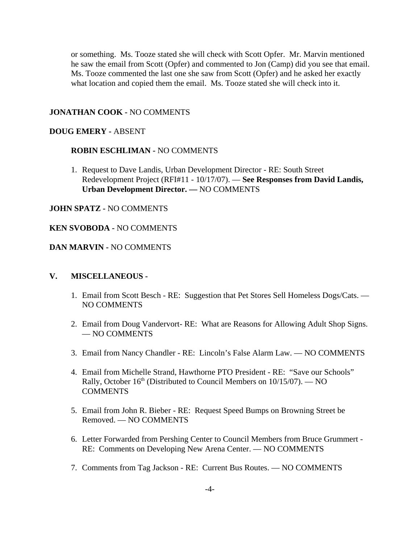or something. Ms. Tooze stated she will check with Scott Opfer. Mr. Marvin mentioned he saw the email from Scott (Opfer) and commented to Jon (Camp) did you see that email. Ms. Tooze commented the last one she saw from Scott (Opfer) and he asked her exactly what location and copied them the email. Ms. Tooze stated she will check into it.

#### **JONATHAN COOK -** NO COMMENTS

#### **DOUG EMERY -** ABSENT

#### **ROBIN ESCHLIMAN -** NO COMMENTS

1. Request to Dave Landis, Urban Development Director - RE: South Street Redevelopment Project (RFI#11 - 10/17/07). — **See Responses from David Landis, Urban Development Director. —** NO COMMENTS

#### **JOHN SPATZ -** NO COMMENTS

#### **KEN SVOBODA -** NO COMMENTS

#### **DAN MARVIN -** NO COMMENTS

#### **V. MISCELLANEOUS -**

- 1. Email from Scott Besch RE: Suggestion that Pet Stores Sell Homeless Dogs/Cats. NO COMMENTS
- 2. Email from Doug Vandervort- RE: What are Reasons for Allowing Adult Shop Signs. — NO COMMENTS
- 3. Email from Nancy Chandler RE: Lincoln's False Alarm Law. NO COMMENTS
- 4. Email from Michelle Strand, Hawthorne PTO President RE: "Save our Schools" Rally, October  $16<sup>th</sup>$  (Distributed to Council Members on  $10/15/07$ ). — NO **COMMENTS**
- 5. Email from John R. Bieber RE: Request Speed Bumps on Browning Street be Removed. — NO COMMENTS
- 6. Letter Forwarded from Pershing Center to Council Members from Bruce Grummert RE: Comments on Developing New Arena Center. — NO COMMENTS
- 7. Comments from Tag Jackson RE: Current Bus Routes. NO COMMENTS